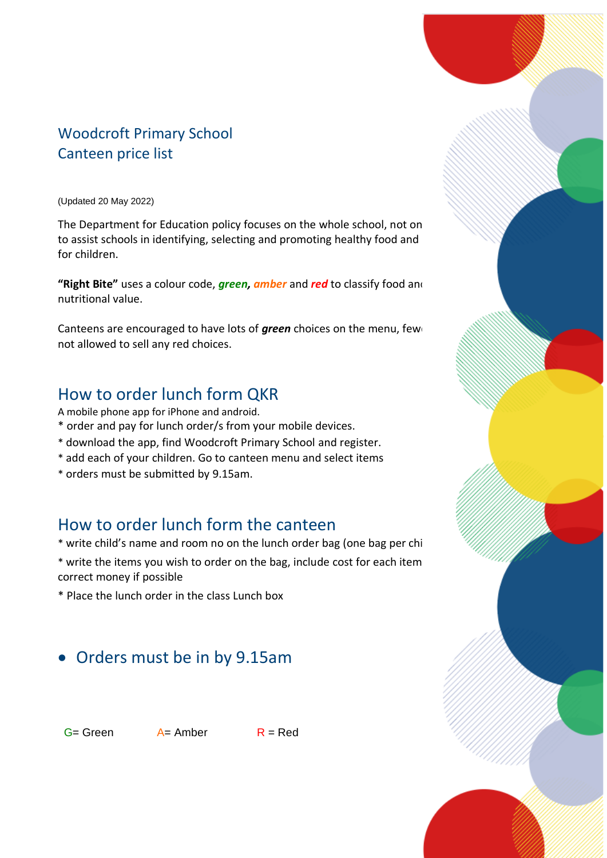### Woodcroft Primary School Canteen price list

(Updated 20 May 2022)

The Department for Education policy focuses on the whole school, not on to assist schools in identifying, selecting and promoting healthy food and for children.

"Right Bite" uses a colour code, *green, amber* and *red* to classify food and nutritional value.

Canteens are encouraged to have lots of *green* choices on the menu, few not allowed to sell any red choices.

### How to order lunch form QKR

A mobile phone app for iPhone and android.

- \* order and pay for lunch order/s from your mobile devices.
- \* download the app, find Woodcroft Primary School and register.
- \* add each of your children. Go to canteen menu and select items
- \* orders must be submitted by 9.15am.

### How to order lunch form the canteen

\* write child's name and room no on the lunch order bag (one bag per child

\* write the items you wish to order on the bag, include cost for each item correct money if possible

\* Place the lunch order in the class Lunch box

### • Orders must be in by 9.15am

 $G =$  Green  $A =$  Amber  $R =$  Red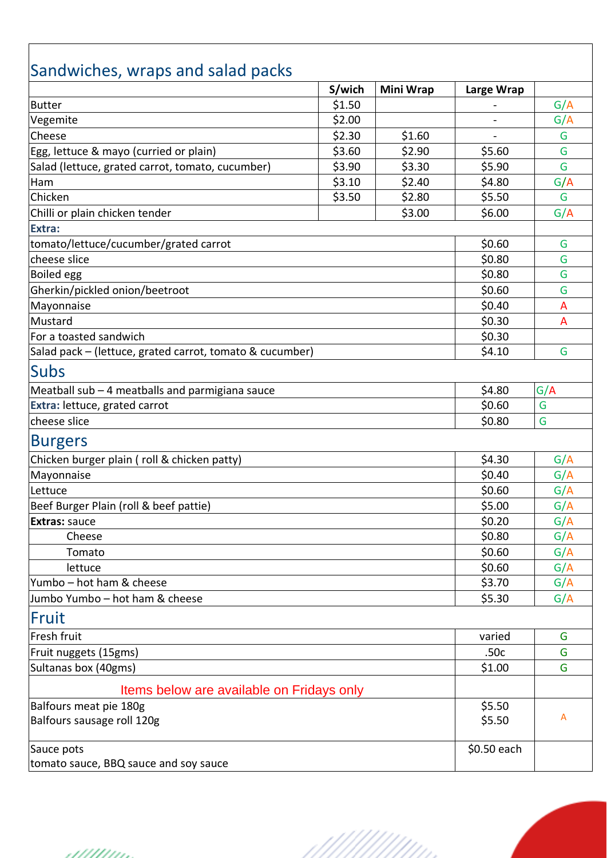# Sandwiches, wraps and salad packs

| sanawiches, wraps and saidd packs                        | S/wich | <b>Mini Wrap</b> | Large Wrap  |     |
|----------------------------------------------------------|--------|------------------|-------------|-----|
| <b>Butter</b>                                            | \$1.50 |                  |             | G/A |
| Vegemite                                                 | \$2.00 |                  |             | G/A |
| Cheese                                                   | \$2.30 | \$1.60           |             | G   |
| Egg, lettuce & mayo (curried or plain)                   | \$3.60 | \$2.90           | \$5.60      | G   |
| Salad (lettuce, grated carrot, tomato, cucumber)         | \$3.90 | \$3.30           | \$5.90      | G   |
| Ham                                                      | \$3.10 | \$2.40           | \$4.80      | G/A |
| Chicken                                                  | \$3.50 | \$2.80           | \$5.50      | G   |
| Chilli or plain chicken tender                           |        | \$3.00           | \$6.00      | G/A |
| Extra:                                                   |        |                  |             |     |
| tomato/lettuce/cucumber/grated carrot                    |        |                  | \$0.60      | G   |
| cheese slice                                             |        |                  | \$0.80      | G   |
| <b>Boiled egg</b>                                        |        |                  | \$0.80      | G   |
| Gherkin/pickled onion/beetroot                           |        |                  | \$0.60      | G   |
| Mayonnaise                                               |        |                  | \$0.40      | A   |
| Mustard                                                  |        |                  | \$0.30      | A   |
| For a toasted sandwich                                   |        |                  | \$0.30      |     |
| Salad pack - (lettuce, grated carrot, tomato & cucumber) |        |                  | \$4.10      | G   |
| <b>Subs</b>                                              |        |                  |             |     |
| Meatball sub - 4 meatballs and parmigiana sauce          |        |                  | \$4.80      | G/A |
| Extra: lettuce, grated carrot                            |        |                  | \$0.60      | G   |
| cheese slice                                             |        |                  | \$0.80      | G   |
| <b>Burgers</b>                                           |        |                  |             |     |
| Chicken burger plain (roll & chicken patty)              |        |                  | \$4.30      | G/A |
| Mayonnaise                                               |        |                  | \$0.40      | G/A |
| Lettuce                                                  |        |                  | \$0.60      | G/A |
| Beef Burger Plain (roll & beef pattie)                   |        |                  | \$5.00      | G/A |
| <b>Extras: sauce</b>                                     |        |                  | \$0.20      | G/A |
| Cheese                                                   |        |                  | \$0.80      | G/A |
| Tomato                                                   |        |                  | \$0.60      | G/A |
| lettuce                                                  |        |                  | \$0.60      | G/A |
| lYumbo – hot ham & cheese                                |        |                  | \$3.70      | G/A |
| Jumbo Yumbo - hot ham & cheese                           |        |                  | \$5.30      | G/A |
| Fruit                                                    |        |                  |             |     |
| Fresh fruit                                              |        |                  | varied      | G   |
| Fruit nuggets (15gms)                                    |        |                  | .50c        | G   |
| Sultanas box (40gms)                                     |        |                  | \$1.00      | G   |
| Items below are available on Fridays only                |        |                  |             |     |
| Balfours meat pie 180g                                   |        |                  | \$5.50      |     |
| Balfours sausage roll 120g                               |        |                  | \$5.50      | A   |
| Sauce pots                                               |        |                  | \$0.50 each |     |
| tomato sauce, BBQ sauce and soy sauce                    |        |                  |             |     |

///////

- 111111111.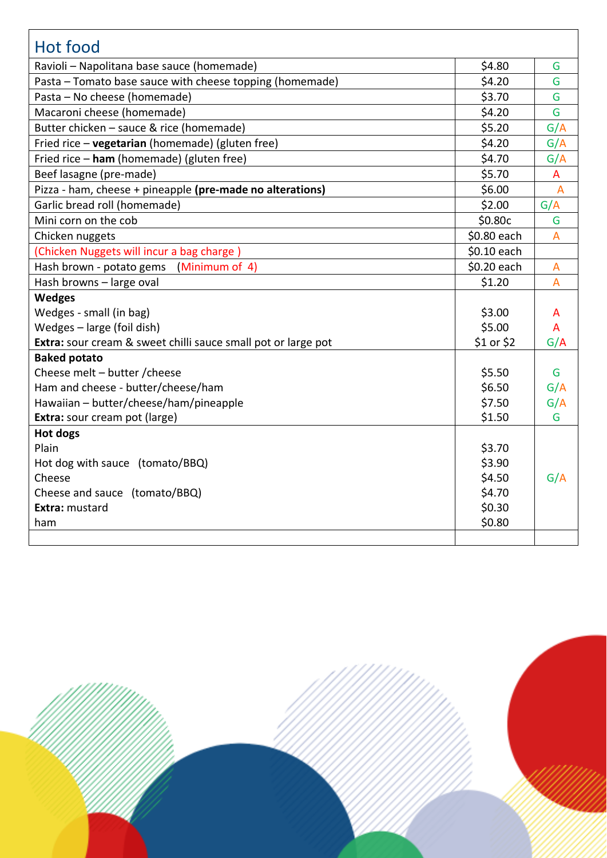| <b>Hot food</b>                                               |             |                |
|---------------------------------------------------------------|-------------|----------------|
|                                                               |             |                |
| Ravioli - Napolitana base sauce (homemade)                    | \$4.80      | G              |
| Pasta - Tomato base sauce with cheese topping (homemade)      | \$4.20      | G              |
| Pasta - No cheese (homemade)                                  | \$3.70      | G              |
| Macaroni cheese (homemade)                                    | \$4.20      | G              |
| Butter chicken - sauce & rice (homemade)                      | \$5.20      | G/A            |
| Fried rice - vegetarian (homemade) (gluten free)              | \$4.20      | G/A            |
| Fried rice - ham (homemade) (gluten free)                     | \$4.70      | G/A            |
| Beef lasagne (pre-made)                                       | \$5.70      | A              |
| Pizza - ham, cheese + pineapple (pre-made no alterations)     | \$6.00      | $\overline{A}$ |
| Garlic bread roll (homemade)                                  | \$2.00      | G/A            |
| Mini corn on the cob                                          | \$0.80c     | G              |
| Chicken nuggets                                               | \$0.80 each | A              |
| (Chicken Nuggets will incur a bag charge)                     | \$0.10 each |                |
| (Minimum of 4)<br>Hash brown - potato gems                    | \$0.20 each | A              |
| Hash browns - large oval                                      | \$1.20      | $\overline{A}$ |
| <b>Wedges</b>                                                 |             |                |
| Wedges - small (in bag)                                       | \$3.00      | А              |
| Wedges - large (foil dish)                                    | \$5.00      | A              |
| Extra: sour cream & sweet chilli sauce small pot or large pot | \$1 or \$2  | G/A            |
| <b>Baked potato</b>                                           |             |                |
| Cheese melt - butter / cheese                                 | \$5.50      | G              |
| Ham and cheese - butter/cheese/ham                            | \$6.50      | G/A            |
| Hawaiian - butter/cheese/ham/pineapple                        | \$7.50      | G/A            |
| Extra: sour cream pot (large)                                 | \$1.50      | G              |
| Hot dogs                                                      |             |                |
| Plain                                                         | \$3.70      |                |
| Hot dog with sauce (tomato/BBQ)                               | \$3.90      |                |
| Cheese                                                        | \$4.50      | G/A            |
| Cheese and sauce (tomato/BBQ)                                 | \$4.70      |                |
| Extra: mustard                                                | \$0.30      |                |
| ham                                                           | \$0.80      |                |
|                                                               |             |                |